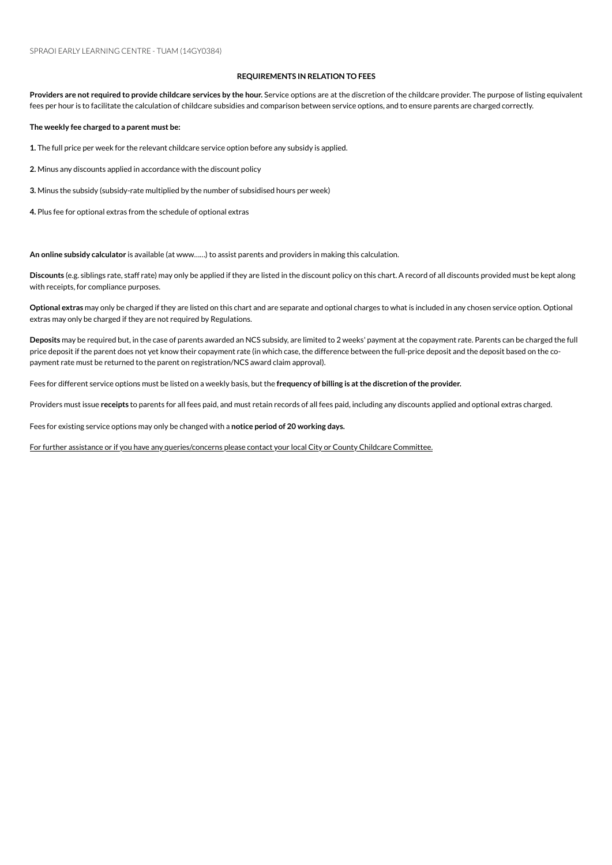## **REQUIREMENTS IN RELATION TO FEES**

Providers are not required to provide childcare services by the hour. Service options are at the discretion of the childcare provider. The purpose of listing equivalent fees per hour is to facilitate the calculation of childcare subsidies and comparison between service options, and to ensure parents are charged correctly.

**The weekly fee charged to a parent must be:**

1. The full price per week for the relevant childcare service option before any subsidy is applied.

2. Minus any discounts applied in accordance with the discount policy

**3.** Minus the subsidy (subsidy-rate multiplied by the number of subsidised hours per week)

4. Plus fee for optional extras from the schedule of optional extras

An online subsidy calculator is available (at www......) to assist parents and providers in making this calculation.

**Discounts** (e.g. siblings rate, staff rate) mayonly be applied if they are listed inthe discount policyonthis chart. A record of all discounts provided must be kept along with receipts, for compliance purposes.

**Optional extras** mayonly be charged if they are listed onthis chart and are separate and optional charges to what is included inany chosenserviceoption. Optional extras may only be charged if they are not required by Regulations.

Deposits may be required but, in the case of parents awarded an NCS subsidy, are limited to 2 weeks' payment at the copayment rate. Parents can be charged the full price deposit if the parent does not yet know their copayment rate (in which case, the difference between the full-price deposit and the deposit based on the copayment rate must be returned to the parent on registration/NCS award claim approval).

Fees for different serviceoptions must be listed ona weekly basis, but the **frequency of billing is atthe discretion ofthe provider.**

Providers must issue receipts to parents for all fees paid, and must retain records of all fees paid, including any discounts applied and optional extras charged.

Fees for existing service options may only be changed with a notice period of 20 working days.

For further assistance or if you have any queries/concerns please contact your local City or County Childcare Committee.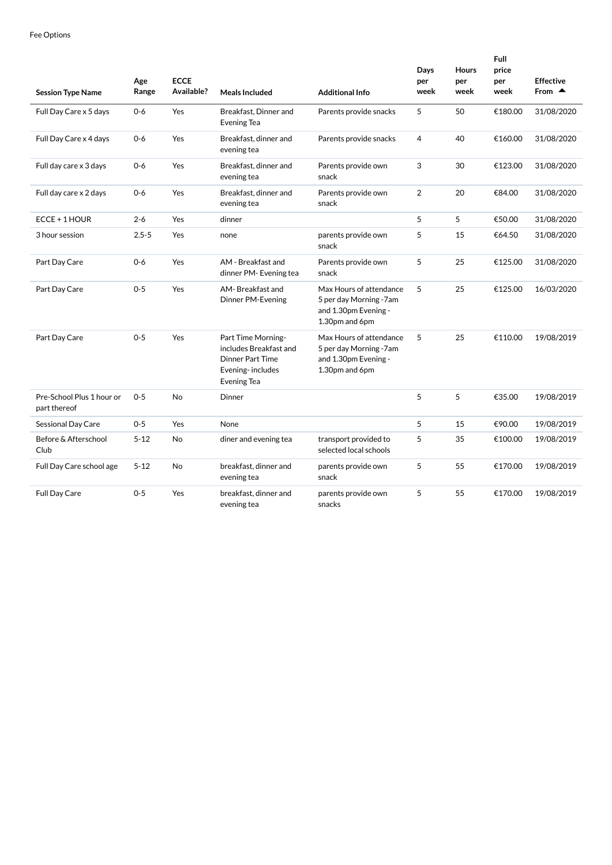| <b>Session Type Name</b>                  | Age<br>Range | <b>ECCE</b><br>Available? | Meals Included                                                                                             | <b>Additional Info</b>                                                                      | Days<br>per<br>week | Hours<br>per<br>week | Full<br>price<br>per<br>week | <b>Effective</b><br>From $\triangle$ |
|-------------------------------------------|--------------|---------------------------|------------------------------------------------------------------------------------------------------------|---------------------------------------------------------------------------------------------|---------------------|----------------------|------------------------------|--------------------------------------|
| Full Day Care x 5 days                    | $0 - 6$      | Yes                       | Breakfast, Dinner and<br>Evening Tea                                                                       | Parents provide snacks                                                                      | 5                   | 50                   | €180.00                      | 31/08/2020                           |
| Full Day Care x 4 days                    | $0 - 6$      | Yes                       | Breakfast, dinner and<br>evening tea                                                                       | Parents provide snacks                                                                      | $\overline{4}$      | 40                   | €160.00                      | 31/08/2020                           |
| Full day care x 3 days                    | $0 - 6$      | Yes                       | Breakfast, dinner and<br>evening tea                                                                       | Parents provide own<br>snack                                                                | 3                   | 30                   | €123.00                      | 31/08/2020                           |
| Full day care x 2 days                    | $0 - 6$      | Yes                       | Breakfast, dinner and<br>evening tea                                                                       | Parents provide own<br>snack                                                                | $\overline{2}$      | 20                   | €84.00                       | 31/08/2020                           |
| ECCE + 1 HOUR                             | $2 - 6$      | Yes                       | dinner                                                                                                     |                                                                                             | 5                   | 5                    | €50.00                       | 31/08/2020                           |
| 3 hour session                            | $2.5 - 5$    | Yes                       | none                                                                                                       | parents provide own<br>snack                                                                | 5                   | 15                   | €64.50                       | 31/08/2020                           |
| Part Day Care                             | $0 - 6$      | Yes                       | AM - Breakfast and<br>dinner PM-Evening tea                                                                | Parents provide own<br>snack                                                                | 5                   | 25                   | €125.00                      | 31/08/2020                           |
| Part Day Care                             | $0 - 5$      | Yes                       | AM-Breakfast and<br>Dinner PM-Evening                                                                      | Max Hours of attendance<br>5 per day Morning -7am<br>and 1.30pm Evening -<br>1.30pm and 6pm | 5                   | 25                   | €125.00                      | 16/03/2020                           |
| Part Day Care                             | $0 - 5$      | Yes                       | Part Time Morning-<br>includes Breakfast and<br>Dinner Part Time<br>Evening-includes<br><b>Evening Tea</b> | Max Hours of attendance<br>5 per day Morning -7am<br>and 1.30pm Evening -<br>1.30pm and 6pm | 5                   | 25                   | €110.00                      | 19/08/2019                           |
| Pre-School Plus 1 hour or<br>part thereof | $0 - 5$      | No                        | Dinner                                                                                                     |                                                                                             | 5                   | 5                    | €35.00                       | 19/08/2019                           |
| Sessional Day Care                        | $0 - 5$      | Yes                       | None                                                                                                       |                                                                                             | 5                   | 15                   | €90.00                       | 19/08/2019                           |
| Before & Afterschool<br>Club              | $5 - 12$     | No                        | diner and evening tea                                                                                      | transport provided to<br>selected local schools                                             | 5                   | 35                   | €100.00                      | 19/08/2019                           |
| Full Day Care school age                  | $5 - 12$     | No                        | breakfast, dinner and<br>evening tea                                                                       | parents provide own<br>snack                                                                | 5                   | 55                   | €170.00                      | 19/08/2019                           |
| Full Day Care                             | $0 - 5$      | Yes                       | breakfast, dinner and<br>evening tea                                                                       | parents provide own<br>snacks                                                               | 5                   | 55                   | €170.00                      | 19/08/2019                           |